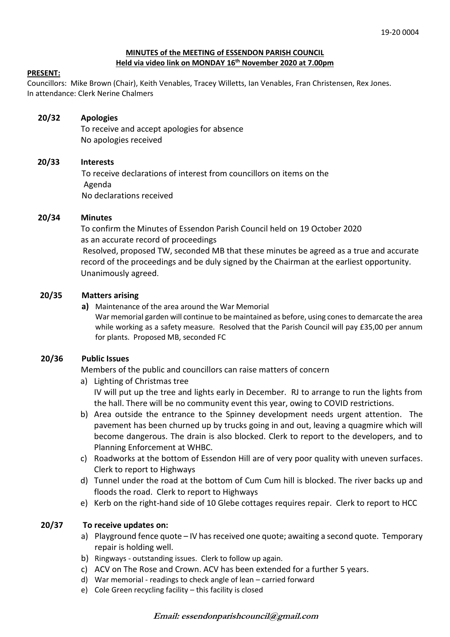#### **MINUTES of the MEETING of ESSENDON PARISH COUNCIL Held via video link on MONDAY 16th November 2020 at 7.00pm**

#### **PRESENT:**

Councillors: Mike Brown (Chair), Keith Venables, Tracey Willetts, Ian Venables, Fran Christensen, Rex Jones. In attendance: Clerk Nerine Chalmers

# **20/32 Apologies**

To receive and accept apologies for absence No apologies received

## **20/33 Interests**

To receive declarations of interest from councillors on items on the Agenda No declarations received

## **20/34 Minutes**

 To confirm the Minutes of Essendon Parish Council held on 19 October 2020 as an accurate record of proceedings Resolved, proposed TW, seconded MB that these minutes be agreed as a true and accurate record of the proceedings and be duly signed by the Chairman at the earliest opportunity. Unanimously agreed.

## **20/35 Matters arising**

#### **a)** Maintenance of the area around the War Memorial

War memorial garden will continue to be maintained as before, using cones to demarcate the area while working as a safety measure. Resolved that the Parish Council will pay £35,00 per annum for plants. Proposed MB, seconded FC

## **20/36 Public Issues**

Members of the public and councillors can raise matters of concern

a) Lighting of Christmas tree

IV will put up the tree and lights early in December. RJ to arrange to run the lights from the hall. There will be no community event this year, owing to COVID restrictions.

- b) Area outside the entrance to the Spinney development needs urgent attention. The pavement has been churned up by trucks going in and out, leaving a quagmire which will become dangerous. The drain is also blocked. Clerk to report to the developers, and to Planning Enforcement at WHBC.
- c) Roadworks at the bottom of Essendon Hill are of very poor quality with uneven surfaces. Clerk to report to Highways
- d) Tunnel under the road at the bottom of Cum Cum hill is blocked. The river backs up and floods the road. Clerk to report to Highways
- e) Kerb on the right-hand side of 10 Glebe cottages requires repair. Clerk to report to HCC

## **20/37 To receive updates on:**

- a) Playground fence quote IV has received one quote; awaiting a second quote. Temporary repair is holding well.
- b) Ringways outstanding issues. Clerk to follow up again.
- c) ACV on The Rose and Crown. ACV has been extended for a further 5 years.
- d) War memorial readings to check angle of lean carried forward
- e) Cole Green recycling facility this facility is closed

## **Email: essendonparishcouncil@gmail.com**